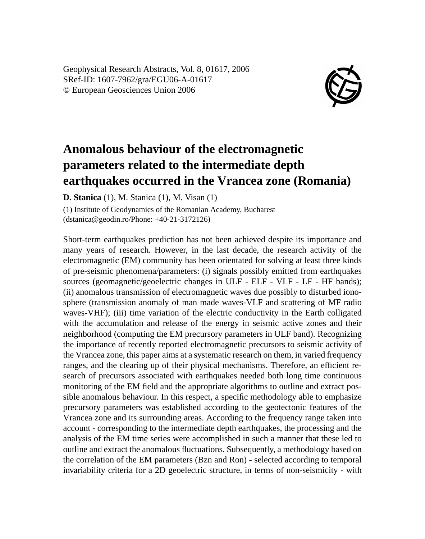Geophysical Research Abstracts, Vol. 8, 01617, 2006 SRef-ID: 1607-7962/gra/EGU06-A-01617 © European Geosciences Union 2006



## **Anomalous behaviour of the electromagnetic parameters related to the intermediate depth earthquakes occurred in the Vrancea zone (Romania)**

**D. Stanica** (1), M. Stanica (1), M. Visan (1)

(1) Institute of Geodynamics of the Romanian Academy, Bucharest (dstanica@geodin.ro/Phone: +40-21-3172126)

Short-term earthquakes prediction has not been achieved despite its importance and many years of research. However, in the last decade, the research activity of the electromagnetic (EM) community has been orientated for solving at least three kinds of pre-seismic phenomena/parameters: (i) signals possibly emitted from earthquakes sources (geomagnetic/geoelectric changes in ULF - ELF - VLF - LF - HF bands); (ii) anomalous transmission of electromagnetic waves due possibly to disturbed ionosphere (transmission anomaly of man made waves-VLF and scattering of MF radio waves-VHF); (iii) time variation of the electric conductivity in the Earth colligated with the accumulation and release of the energy in seismic active zones and their neighborhood (computing the EM precursory parameters in ULF band). Recognizing the importance of recently reported electromagnetic precursors to seismic activity of the Vrancea zone, this paper aims at a systematic research on them, in varied frequency ranges, and the clearing up of their physical mechanisms. Therefore, an efficient research of precursors associated with earthquakes needed both long time continuous monitoring of the EM field and the appropriate algorithms to outline and extract possible anomalous behaviour. In this respect, a specific methodology able to emphasize precursory parameters was established according to the geotectonic features of the Vrancea zone and its surrounding areas. According to the frequency range taken into account - corresponding to the intermediate depth earthquakes, the processing and the analysis of the EM time series were accomplished in such a manner that these led to outline and extract the anomalous fluctuations. Subsequently, a methodology based on the correlation of the EM parameters (Bzn and Ron) - selected according to temporal invariability criteria for a 2D geoelectric structure, in terms of non-seismicity - with